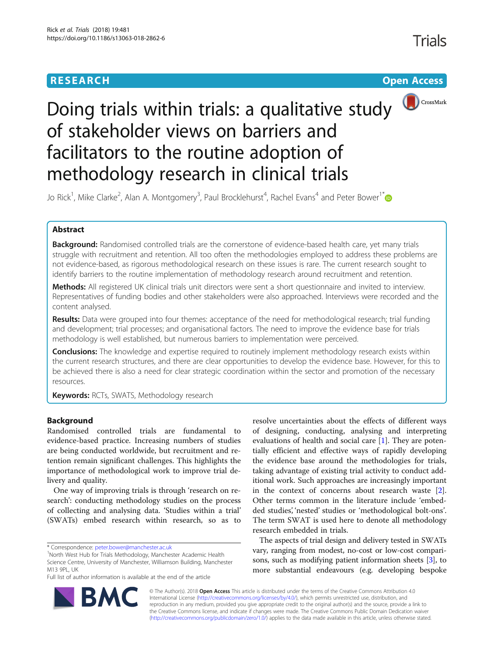# **RESEARCH CHE Open Access**



Doing trials within trials: a qualitative study of stakeholder views on barriers and facilitators to the routine adoption of methodology research in clinical trials

Jo Rick<sup>1</sup>, Mike Clarke<sup>2</sup>, Alan A. Montgomery<sup>3</sup>, Paul Brocklehurst<sup>4</sup>, Rachel Evans<sup>4</sup> and Peter Bower<sup>1\*</sup>

# Abstract

Background: Randomised controlled trials are the cornerstone of evidence-based health care, yet many trials struggle with recruitment and retention. All too often the methodologies employed to address these problems are not evidence-based, as rigorous methodological research on these issues is rare. The current research sought to identify barriers to the routine implementation of methodology research around recruitment and retention.

Methods: All registered UK clinical trials unit directors were sent a short questionnaire and invited to interview. Representatives of funding bodies and other stakeholders were also approached. Interviews were recorded and the content analysed.

Results: Data were grouped into four themes: acceptance of the need for methodological research; trial funding and development; trial processes; and organisational factors. The need to improve the evidence base for trials methodology is well established, but numerous barriers to implementation were perceived.

**Conclusions:** The knowledge and expertise required to routinely implement methodology research exists within the current research structures, and there are clear opportunities to develop the evidence base. However, for this to be achieved there is also a need for clear strategic coordination within the sector and promotion of the necessary resources.

**Keywords:** RCTs, SWATS, Methodology research

# Background

Randomised controlled trials are fundamental to evidence-based practice. Increasing numbers of studies are being conducted worldwide, but recruitment and retention remain significant challenges. This highlights the importance of methodological work to improve trial delivery and quality.

One way of improving trials is through 'research on research': conducting methodology studies on the process of collecting and analysing data. 'Studies within a trial' (SWATs) embed research within research, so as to

\* Correspondence: [peter.bower@manchester.ac.uk](mailto:peter.bower@manchester.ac.uk) <sup>1</sup>

Full list of author information is available at the end of the article

resolve uncertainties about the effects of different ways of designing, conducting, analysing and interpreting evaluations of health and social care [\[1](#page-8-0)]. They are potentially efficient and effective ways of rapidly developing the evidence base around the methodologies for trials, taking advantage of existing trial activity to conduct additional work. Such approaches are increasingly important in the context of concerns about research waste [\[2](#page-8-0)]. Other terms common in the literature include 'embedded studies', 'nested' studies or 'methodological bolt-ons'. The term SWAT is used here to denote all methodology research embedded in trials.

The aspects of trial design and delivery tested in SWATs vary, ranging from modest, no-cost or low-cost comparisons, such as modifying patient information sheets [\[3\]](#page-8-0), to more substantial endeavours (e.g. developing bespoke



© The Author(s). 2018 Open Access This article is distributed under the terms of the Creative Commons Attribution 4.0 International License [\(http://creativecommons.org/licenses/by/4.0/](http://creativecommons.org/licenses/by/4.0/)), which permits unrestricted use, distribution, and reproduction in any medium, provided you give appropriate credit to the original author(s) and the source, provide a link to the Creative Commons license, and indicate if changes were made. The Creative Commons Public Domain Dedication waiver [\(http://creativecommons.org/publicdomain/zero/1.0/](http://creativecommons.org/publicdomain/zero/1.0/)) applies to the data made available in this article, unless otherwise stated.

<sup>&</sup>lt;sup>1</sup>North West Hub for Trials Methodology, Manchester Academic Health Science Centre, University of Manchester, Williamson Building, Manchester M13 9PL, UK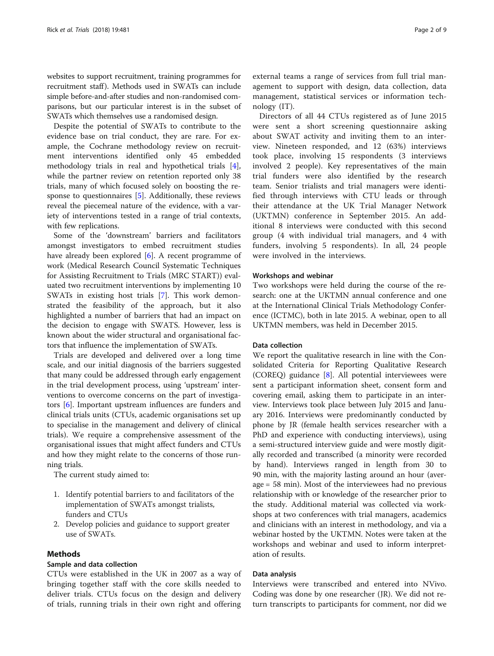websites to support recruitment, training programmes for recruitment staff). Methods used in SWATs can include simple before-and-after studies and non-randomised comparisons, but our particular interest is in the subset of SWATs which themselves use a randomised design.

Despite the potential of SWATs to contribute to the evidence base on trial conduct, they are rare. For example, the Cochrane methodology review on recruitment interventions identified only 45 embedded methodology trials in real and hypothetical trials [\[4](#page-8-0)], while the partner review on retention reported only 38 trials, many of which focused solely on boosting the re-sponse to questionnaires [[5\]](#page-8-0). Additionally, these reviews reveal the piecemeal nature of the evidence, with a variety of interventions tested in a range of trial contexts, with few replications.

Some of the 'downstream' barriers and facilitators amongst investigators to embed recruitment studies have already been explored [\[6](#page-8-0)]. A recent programme of work (Medical Research Council Systematic Techniques for Assisting Recruitment to Trials (MRC START)) evaluated two recruitment interventions by implementing 10 SWATs in existing host trials [[7\]](#page-8-0). This work demonstrated the feasibility of the approach, but it also highlighted a number of barriers that had an impact on the decision to engage with SWATS. However, less is known about the wider structural and organisational factors that influence the implementation of SWATs.

Trials are developed and delivered over a long time scale, and our initial diagnosis of the barriers suggested that many could be addressed through early engagement in the trial development process, using 'upstream' interventions to overcome concerns on the part of investigators [\[6](#page-8-0)]. Important upstream influences are funders and clinical trials units (CTUs, academic organisations set up to specialise in the management and delivery of clinical trials). We require a comprehensive assessment of the organisational issues that might affect funders and CTUs and how they might relate to the concerns of those running trials.

The current study aimed to:

- 1. Identify potential barriers to and facilitators of the implementation of SWATs amongst trialists, funders and CTUs
- 2. Develop policies and guidance to support greater use of SWATs.

## Methods

## Sample and data collection

CTUs were established in the UK in 2007 as a way of bringing together staff with the core skills needed to deliver trials. CTUs focus on the design and delivery of trials, running trials in their own right and offering nology (IT). Directors of all 44 CTUs registered as of June 2015 were sent a short screening questionnaire asking about SWAT activity and inviting them to an interview. Nineteen responded, and 12 (63%) interviews took place, involving 15 respondents (3 interviews involved 2 people). Key representatives of the main trial funders were also identified by the research team. Senior trialists and trial managers were identified through interviews with CTU leads or through their attendance at the UK Trial Manager Network (UKTMN) conference in September 2015. An additional 8 interviews were conducted with this second group (4 with individual trial managers, and 4 with funders, involving 5 respondents). In all, 24 people were involved in the interviews.

management, statistical services or information tech-

## Workshops and webinar

Two workshops were held during the course of the research: one at the UKTMN annual conference and one at the International Clinical Trials Methodology Conference (ICTMC), both in late 2015. A webinar, open to all UKTMN members, was held in December 2015.

## Data collection

We report the qualitative research in line with the Consolidated Criteria for Reporting Qualitative Research (COREQ) guidance [[8\]](#page-8-0). All potential interviewees were sent a participant information sheet, consent form and covering email, asking them to participate in an interview. Interviews took place between July 2015 and January 2016. Interviews were predominantly conducted by phone by JR (female health services researcher with a PhD and experience with conducting interviews), using a semi-structured interview guide and were mostly digitally recorded and transcribed (a minority were recorded by hand). Interviews ranged in length from 30 to 90 min, with the majority lasting around an hour (average = 58 min). Most of the interviewees had no previous relationship with or knowledge of the researcher prior to the study. Additional material was collected via workshops at two conferences with trial managers, academics and clinicians with an interest in methodology, and via a webinar hosted by the UKTMN. Notes were taken at the workshops and webinar and used to inform interpretation of results.

## Data analysis

Interviews were transcribed and entered into NVivo. Coding was done by one researcher (JR). We did not return transcripts to participants for comment, nor did we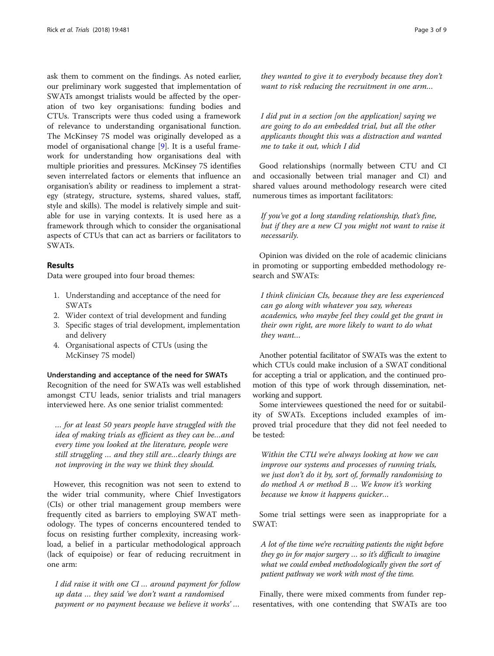ask them to comment on the findings. As noted earlier, our preliminary work suggested that implementation of SWATs amongst trialists would be affected by the operation of two key organisations: funding bodies and CTUs. Transcripts were thus coded using a framework of relevance to understanding organisational function. The McKinsey 7S model was originally developed as a model of organisational change [[9\]](#page-8-0). It is a useful framework for understanding how organisations deal with multiple priorities and pressures. McKinsey 7S identifies seven interrelated factors or elements that influence an organisation's ability or readiness to implement a strategy (strategy, structure, systems, shared values, staff, style and skills). The model is relatively simple and suitable for use in varying contexts. It is used here as a framework through which to consider the organisational aspects of CTUs that can act as barriers or facilitators to SWATs.

## Results

Data were grouped into four broad themes:

- 1. Understanding and acceptance of the need for SWATs
- 2. Wider context of trial development and funding
- 3. Specific stages of trial development, implementation and delivery
- 4. Organisational aspects of CTUs (using the McKinsey 7S model)

## Understanding and acceptance of the need for SWATs

Recognition of the need for SWATs was well established amongst CTU leads, senior trialists and trial managers interviewed here. As one senior trialist commented:

… for at least 50 years people have struggled with the idea of making trials as efficient as they can be…and every time you looked at the literature, people were still struggling … and they still are…clearly things are not improving in the way we think they should.

However, this recognition was not seen to extend to the wider trial community, where Chief Investigators (CIs) or other trial management group members were frequently cited as barriers to employing SWAT methodology. The types of concerns encountered tended to focus on resisting further complexity, increasing workload, a belief in a particular methodological approach (lack of equipoise) or fear of reducing recruitment in one arm:

I did raise it with one CI … around payment for follow up data … they said 'we don't want a randomised payment or no payment because we believe it works' …

they wanted to give it to everybody because they don't want to risk reducing the recruitment in one arm…

I did put in a section [on the application] saying we are going to do an embedded trial, but all the other applicants thought this was a distraction and wanted me to take it out, which I did

Good relationships (normally between CTU and CI and occasionally between trial manager and CI) and shared values around methodology research were cited numerous times as important facilitators:

If you've got a long standing relationship, that's fine, but if they are a new CI you might not want to raise it necessarily.

Opinion was divided on the role of academic clinicians in promoting or supporting embedded methodology research and SWATs:

I think clinician CIs, because they are less experienced can go along with whatever you say, whereas academics, who maybe feel they could get the grant in their own right, are more likely to want to do what they want…

Another potential facilitator of SWATs was the extent to which CTUs could make inclusion of a SWAT conditional for accepting a trial or application, and the continued promotion of this type of work through dissemination, networking and support.

Some interviewees questioned the need for or suitability of SWATs. Exceptions included examples of improved trial procedure that they did not feel needed to be tested:

Within the CTU we're always looking at how we can improve our systems and processes of running trials, we just don't do it by, sort of, formally randomising to do method A or method B … We know it's working because we know it happens quicker…

Some trial settings were seen as inappropriate for a SWAT:

A lot of the time we're recruiting patients the night before they go in for major surgery … so it's difficult to imagine what we could embed methodologically given the sort of patient pathway we work with most of the time.

Finally, there were mixed comments from funder representatives, with one contending that SWATs are too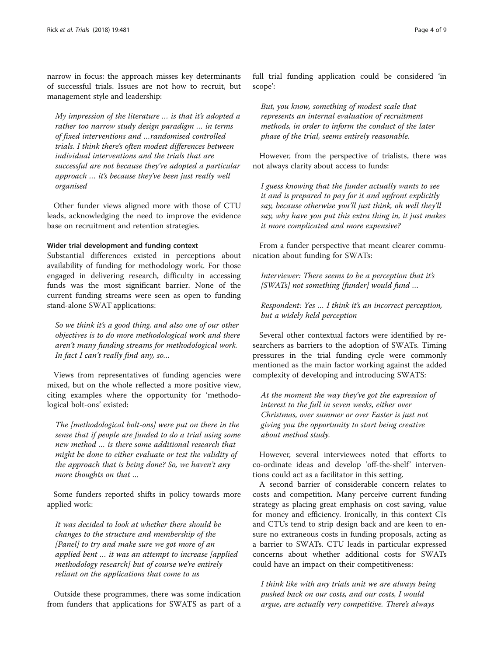narrow in focus: the approach misses key determinants of successful trials. Issues are not how to recruit, but management style and leadership:

My impression of the literature … is that it's adopted a rather too narrow study design paradigm … in terms of fixed interventions and …randomised controlled trials. I think there's often modest differences between individual interventions and the trials that are successful are not because they've adopted a particular approach … it's because they've been just really well organised

Other funder views aligned more with those of CTU leads, acknowledging the need to improve the evidence base on recruitment and retention strategies.

## Wider trial development and funding context

Substantial differences existed in perceptions about availability of funding for methodology work. For those engaged in delivering research, difficulty in accessing funds was the most significant barrier. None of the current funding streams were seen as open to funding stand-alone SWAT applications:

So we think it's a good thing, and also one of our other objectives is to do more methodological work and there aren't many funding streams for methodological work. In fact I can't really find any, so…

Views from representatives of funding agencies were mixed, but on the whole reflected a more positive view, citing examples where the opportunity for 'methodological bolt-ons' existed:

The [methodological bolt-ons] were put on there in the sense that if people are funded to do a trial using some new method … is there some additional research that might be done to either evaluate or test the validity of the approach that is being done? So, we haven't any more thoughts on that …

Some funders reported shifts in policy towards more applied work:

It was decided to look at whether there should be changes to the structure and membership of the [Panel] to try and make sure we got more of an applied bent … it was an attempt to increase [applied methodology research] but of course we're entirely reliant on the applications that come to us

Outside these programmes, there was some indication from funders that applications for SWATS as part of a

full trial funding application could be considered 'in scope':

But, you know, something of modest scale that represents an internal evaluation of recruitment methods, in order to inform the conduct of the later phase of the trial, seems entirely reasonable.

However, from the perspective of trialists, there was not always clarity about access to funds:

I guess knowing that the funder actually wants to see it and is prepared to pay for it and upfront explicitly say, because otherwise you'll just think, oh well they'll say, why have you put this extra thing in, it just makes it more complicated and more expensive?

From a funder perspective that meant clearer communication about funding for SWATs:

Interviewer: There seems to be a perception that it's [SWATs] not something [funder] would fund …

Respondent: Yes … I think it's an incorrect perception, but a widely held perception

Several other contextual factors were identified by researchers as barriers to the adoption of SWATs. Timing pressures in the trial funding cycle were commonly mentioned as the main factor working against the added complexity of developing and introducing SWATS:

At the moment the way they've got the expression of interest to the full in seven weeks, either over Christmas, over summer or over Easter is just not giving you the opportunity to start being creative about method study.

However, several interviewees noted that efforts to co-ordinate ideas and develop 'off-the-shelf' interventions could act as a facilitator in this setting.

A second barrier of considerable concern relates to costs and competition. Many perceive current funding strategy as placing great emphasis on cost saving, value for money and efficiency. Ironically, in this context CIs and CTUs tend to strip design back and are keen to ensure no extraneous costs in funding proposals, acting as a barrier to SWATs. CTU leads in particular expressed concerns about whether additional costs for SWATs could have an impact on their competitiveness:

I think like with any trials unit we are always being pushed back on our costs, and our costs, I would argue, are actually very competitive. There's always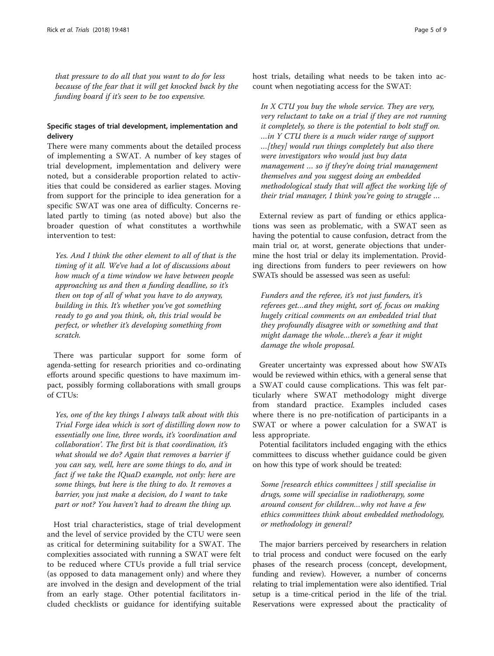that pressure to do all that you want to do for less because of the fear that it will get knocked back by the funding board if it's seen to be too expensive.

# Specific stages of trial development, implementation and delivery

There were many comments about the detailed process of implementing a SWAT. A number of key stages of trial development, implementation and delivery were noted, but a considerable proportion related to activities that could be considered as earlier stages. Moving from support for the principle to idea generation for a specific SWAT was one area of difficulty. Concerns related partly to timing (as noted above) but also the broader question of what constitutes a worthwhile intervention to test:

Yes. And I think the other element to all of that is the timing of it all. We've had a lot of discussions about how much of a time window we have between people approaching us and then a funding deadline, so it's then on top of all of what you have to do anyway, building in this. It's whether you've got something ready to go and you think, oh, this trial would be perfect, or whether it's developing something from scratch.

There was particular support for some form of agenda-setting for research priorities and co-ordinating efforts around specific questions to have maximum impact, possibly forming collaborations with small groups of CTUs:

Yes, one of the key things I always talk about with this Trial Forge idea which is sort of distilling down now to essentially one line, three words, it's 'coordination and collaboration'. The first bit is that coordination, it's what should we do? Again that removes a barrier if you can say, well, here are some things to do, and in fact if we take the IQuaD example, not only: here are some things, but here is the thing to do. It removes a barrier, you just make a decision, do I want to take part or not? You haven't had to dream the thing up.

Host trial characteristics, stage of trial development and the level of service provided by the CTU were seen as critical for determining suitability for a SWAT. The complexities associated with running a SWAT were felt to be reduced where CTUs provide a full trial service (as opposed to data management only) and where they are involved in the design and development of the trial from an early stage. Other potential facilitators included checklists or guidance for identifying suitable host trials, detailing what needs to be taken into account when negotiating access for the SWAT:

In  $X$  CTU you buy the whole service. They are very, very reluctant to take on a trial if they are not running it completely, so there is the potential to bolt stuff on. …in Y CTU there is a much wider range of support …[they] would run things completely but also there were investigators who would just buy data management … so if they're doing trial management themselves and you suggest doing an embedded methodological study that will affect the working life of their trial manager, I think you're going to struggle …

External review as part of funding or ethics applications was seen as problematic, with a SWAT seen as having the potential to cause confusion, detract from the main trial or, at worst, generate objections that undermine the host trial or delay its implementation. Providing directions from funders to peer reviewers on how SWATs should be assessed was seen as useful:

Funders and the referee, it's not just funders, it's referees get…and they might, sort of, focus on making hugely critical comments on an embedded trial that they profoundly disagree with or something and that might damage the whole…there's a fear it might damage the whole proposal.

Greater uncertainty was expressed about how SWATs would be reviewed within ethics, with a general sense that a SWAT could cause complications. This was felt particularly where SWAT methodology might diverge from standard practice. Examples included cases where there is no pre-notification of participants in a SWAT or where a power calculation for a SWAT is less appropriate.

Potential facilitators included engaging with the ethics committees to discuss whether guidance could be given on how this type of work should be treated:

Some [research ethics committees ] still specialise in drugs, some will specialise in radiotherapy, some around consent for children…why not have a few ethics committees think about embedded methodology, or methodology in general?

The major barriers perceived by researchers in relation to trial process and conduct were focused on the early phases of the research process (concept, development, funding and review). However, a number of concerns relating to trial implementation were also identified. Trial setup is a time-critical period in the life of the trial. Reservations were expressed about the practicality of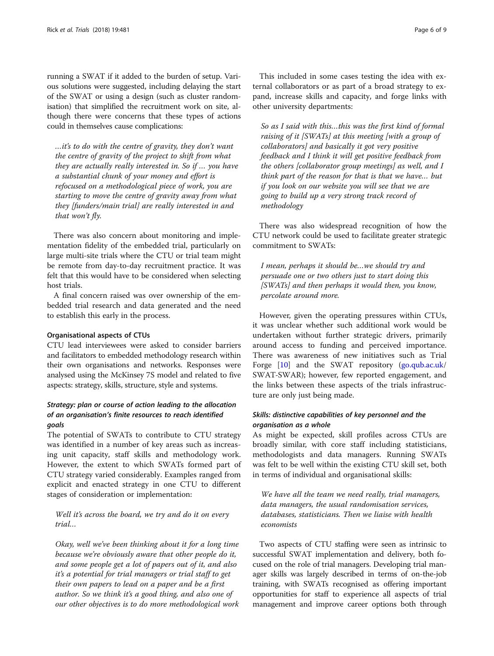running a SWAT if it added to the burden of setup. Various solutions were suggested, including delaying the start of the SWAT or using a design (such as cluster randomisation) that simplified the recruitment work on site, although there were concerns that these types of actions could in themselves cause complications:

…it's to do with the centre of gravity, they don't want the centre of gravity of the project to shift from what they are actually really interested in. So if … you have a substantial chunk of your money and effort is refocused on a methodological piece of work, you are starting to move the centre of gravity away from what they [funders/main trial] are really interested in and that won't fly.

There was also concern about monitoring and implementation fidelity of the embedded trial, particularly on large multi-site trials where the CTU or trial team might be remote from day-to-day recruitment practice. It was felt that this would have to be considered when selecting host trials.

A final concern raised was over ownership of the embedded trial research and data generated and the need to establish this early in the process.

## Organisational aspects of CTUs

CTU lead interviewees were asked to consider barriers and facilitators to embedded methodology research within their own organisations and networks. Responses were analysed using the McKinsey 7S model and related to five aspects: strategy, skills, structure, style and systems.

# Strategy: plan or course of action leading to the allocation of an organisation's finite resources to reach identified goals

The potential of SWATs to contribute to CTU strategy was identified in a number of key areas such as increasing unit capacity, staff skills and methodology work. However, the extent to which SWATs formed part of CTU strategy varied considerably. Examples ranged from explicit and enacted strategy in one CTU to different stages of consideration or implementation:

Well it's across the board, we try and do it on every trial…

Okay, well we've been thinking about it for a long time because we're obviously aware that other people do it, and some people get a lot of papers out of it, and also it's a potential for trial managers or trial staff to get their own papers to lead on a paper and be a first author. So we think it's a good thing, and also one of our other objectives is to do more methodological work

This included in some cases testing the idea with external collaborators or as part of a broad strategy to expand, increase skills and capacity, and forge links with other university departments:

So as I said with this…this was the first kind of formal raising of it [SWATs] at this meeting [with a group of collaborators] and basically it got very positive feedback and I think it will get positive feedback from the others [collaborator group meetings] as well, and I think part of the reason for that is that we have… but if you look on our website you will see that we are going to build up a very strong track record of methodology

There was also widespread recognition of how the CTU network could be used to facilitate greater strategic commitment to SWATs:

I mean, perhaps it should be…we should try and persuade one or two others just to start doing this [SWATs] and then perhaps it would then, you know, percolate around more.

However, given the operating pressures within CTUs, it was unclear whether such additional work would be undertaken without further strategic drivers, primarily around access to funding and perceived importance. There was awareness of new initiatives such as Trial Forge [[10](#page-8-0)] and the SWAT repository ([go.qub.ac.uk](http://go.qub.ac.uk)/ SWAT-SWAR); however, few reported engagement, and the links between these aspects of the trials infrastructure are only just being made.

# Skills: distinctive capabilities of key personnel and the organisation as a whole

As might be expected, skill profiles across CTUs are broadly similar, with core staff including statisticians, methodologists and data managers. Running SWATs was felt to be well within the existing CTU skill set, both in terms of individual and organisational skills:

We have all the team we need really, trial managers, data managers, the usual randomisation services, databases, statisticians. Then we liaise with health economists

Two aspects of CTU staffing were seen as intrinsic to successful SWAT implementation and delivery, both focused on the role of trial managers. Developing trial manager skills was largely described in terms of on-the-job training, with SWATs recognised as offering important opportunities for staff to experience all aspects of trial management and improve career options both through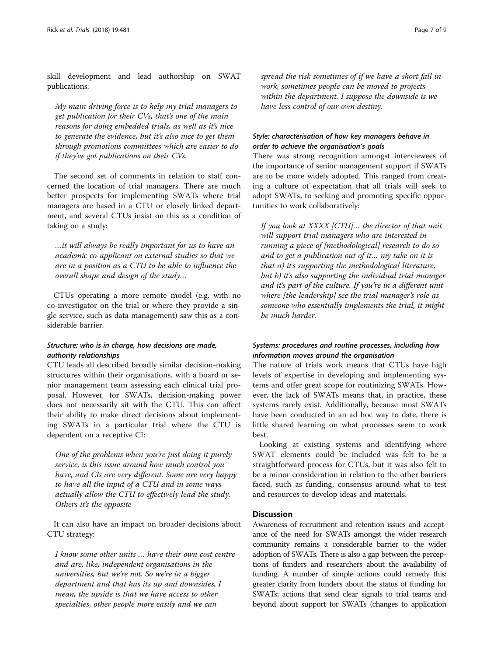skill development and lead authorship on SWAT publications:

My main driving force is to help my trial managers to get publication for their CVs, that's one of the main reasons for doing embedded trials, as well as it's nice to generate the evidence, but it's also nice to get them through promotions committees which are easier to do if they've got publications on their CVs.

The second set of comments in relation to staff concerned the location of trial managers. There are much better prospects for implementing SWATs where trial managers are based in a CTU or closely linked department, and several CTUs insist on this as a condition of taking on a study:

…it will always be really important for us to have an academic co-applicant on external studies so that we are in a position as a CTU to be able to influence the overall shape and design of the study…

CTUs operating a more remote model (e.g. with no co-investigator on the trial or where they provide a single service, such as data management) saw this as a considerable barrier.

## Structure: who is in charge, how decisions are made, authority relationships

CTU leads all described broadly similar decision-making structures within their organisations, with a board or senior management team assessing each clinical trial proposal. However, for SWATs, decision-making power does not necessarily sit with the CTU. This can affect their ability to make direct decisions about implementing SWATs in a particular trial where the CTU is dependent on a receptive CI:

One of the problems when you're just doing it purely service, is this issue around how much control you have, and CIs are very different. Some are very happy to have all the input of a CTU and in some ways actually allow the CTU to effectively lead the study. Others it's the opposite

It can also have an impact on broader decisions about CTU strategy:

I know some other units … have their own cost centre and are, like, independent organisations in the universities, but we're not. So we're in a bigger department and that has its up and downsides, I mean, the upside is that we have access to other specialties, other people more easily and we can

spread the risk sometimes of if we have a short fall in work, sometimes people can be moved to projects within the department. I suppose the downside is we have less control of our own destiny.

# Style: characterisation of how key managers behave in order to achieve the organisation's goals

There was strong recognition amongst interviewees of the importance of senior management support if SWATs are to be more widely adopted. This ranged from creating a culture of expectation that all trials will seek to adopt SWATs, to seeking and promoting specific opportunities to work collaboratively:

If you look at XXXX [CTU]… the director of that unit will support trial managers who are interested in running a piece of [methodological] research to do so and to get a publication out of it… my take on it is that a) it's supporting the methodological literature, but b) it's also supporting the individual trial manager and it's part of the culture. If you're in a different unit where [the leadership] see the trial manager's role as someone who essentially implements the trial, it might be much harder.

# Systems: procedures and routine processes, including how information moves around the organisation

The nature of trials work means that CTUs have high levels of expertise in developing and implementing systems and offer great scope for routinizing SWATs. However, the lack of SWATs means that, in practice, these systems rarely exist. Additionally, because most SWATs have been conducted in an ad hoc way to date, there is little shared learning on what processes seem to work best.

Looking at existing systems and identifying where SWAT elements could be included was felt to be a straightforward process for CTUs, but it was also felt to be a minor consideration in relation to the other barriers faced, such as funding, consensus around what to test and resources to develop ideas and materials.

## **Discussion**

Awareness of recruitment and retention issues and acceptance of the need for SWATs amongst the wider research community remains a considerable barrier to the wider adoption of SWATs. There is also a gap between the perceptions of funders and researchers about the availability of funding. A number of simple actions could remedy this: greater clarity from funders about the status of funding for SWATs; actions that send clear signals to trial teams and beyond about support for SWATs (changes to application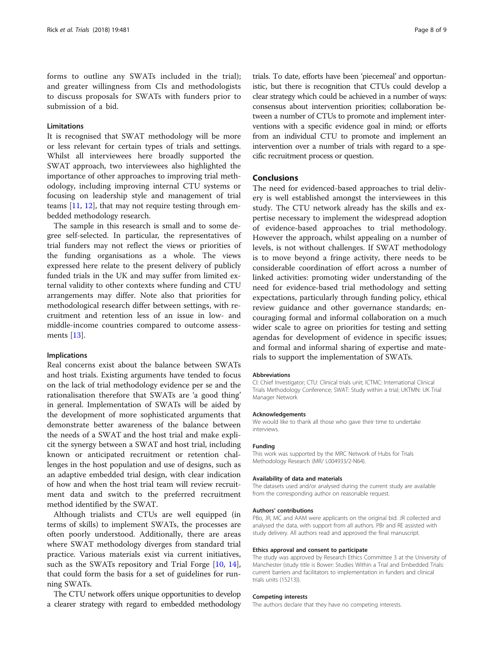forms to outline any SWATs included in the trial); and greater willingness from CIs and methodologists to discuss proposals for SWATs with funders prior to submission of a bid.

## Limitations

It is recognised that SWAT methodology will be more or less relevant for certain types of trials and settings. Whilst all interviewees here broadly supported the SWAT approach, two interviewees also highlighted the importance of other approaches to improving trial methodology, including improving internal CTU systems or focusing on leadership style and management of trial teams [[11,](#page-8-0) [12\]](#page-8-0), that may not require testing through embedded methodology research.

The sample in this research is small and to some degree self-selected. In particular, the representatives of trial funders may not reflect the views or priorities of the funding organisations as a whole. The views expressed here relate to the present delivery of publicly funded trials in the UK and may suffer from limited external validity to other contexts where funding and CTU arrangements may differ. Note also that priorities for methodological research differ between settings, with recruitment and retention less of an issue in low- and middle-income countries compared to outcome assessments [[13\]](#page-8-0).

## Implications

Real concerns exist about the balance between SWATs and host trials. Existing arguments have tended to focus on the lack of trial methodology evidence per se and the rationalisation therefore that SWATs are 'a good thing' in general. Implementation of SWATs will be aided by the development of more sophisticated arguments that demonstrate better awareness of the balance between the needs of a SWAT and the host trial and make explicit the synergy between a SWAT and host trial, including known or anticipated recruitment or retention challenges in the host population and use of designs, such as an adaptive embedded trial design, with clear indication of how and when the host trial team will review recruitment data and switch to the preferred recruitment method identified by the SWAT.

Although trialists and CTUs are well equipped (in terms of skills) to implement SWATs, the processes are often poorly understood. Additionally, there are areas where SWAT methodology diverges from standard trial practice. Various materials exist via current initiatives, such as the SWATs repository and Trial Forge [[10](#page-8-0), [14](#page-8-0)], that could form the basis for a set of guidelines for running SWATs.

The CTU network offers unique opportunities to develop a clearer strategy with regard to embedded methodology

trials. To date, efforts have been 'piecemeal' and opportunistic, but there is recognition that CTUs could develop a clear strategy which could be achieved in a number of ways: consensus about intervention priorities; collaboration between a number of CTUs to promote and implement interventions with a specific evidence goal in mind; or efforts from an individual CTU to promote and implement an intervention over a number of trials with regard to a specific recruitment process or question.

## Conclusions

The need for evidenced-based approaches to trial delivery is well established amongst the interviewees in this study. The CTU network already has the skills and expertise necessary to implement the widespread adoption of evidence-based approaches to trial methodology. However the approach, whilst appealing on a number of levels, is not without challenges. If SWAT methodology is to move beyond a fringe activity, there needs to be considerable coordination of effort across a number of linked activities: promoting wider understanding of the need for evidence-based trial methodology and setting expectations, particularly through funding policy, ethical review guidance and other governance standards; encouraging formal and informal collaboration on a much wider scale to agree on priorities for testing and setting agendas for development of evidence in specific issues; and formal and informal sharing of expertise and materials to support the implementation of SWATs.

#### Abbreviations

CI: Chief Investigator; CTU: Clinical trials unit; ICTMC: International Clinical Trials Methodology Conference; SWAT: Study within a trial; UKTMN: UK Trial Manager Network

#### Acknowledgements

We would like to thank all those who gave their time to undertake interviews.

#### Funding

This work was supported by the MRC Network of Hubs for Trials Methodology Research (MR/ L004933/2-N64).

#### Availability of data and materials

The datasets used and/or analysed during the current study are available from the corresponding author on reasonable request.

#### Authors' contributions

PBo, JR, MC and AAM were applicants on the original bid. JR collected and analysed the data, with support from all authors. PBr and RE assisted with study delivery. All authors read and approved the final manuscript.

#### Ethics approval and consent to participate

The study was approved by Research Ethics Committee 3 at the University of Manchester (study title is Bower: Studies Within a Trial and Embedded Trials: current barriers and facilitators to implementation in funders and clinical trials units (15213)).

#### Competing interests

The authors declare that they have no competing interests.